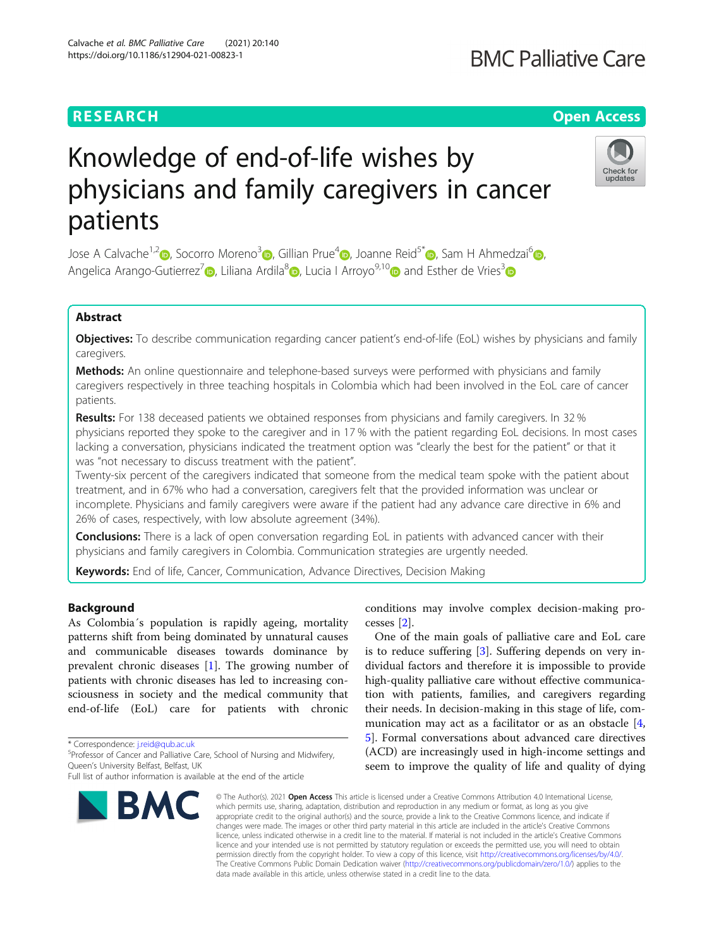# Knowledge of end-of-life wishes by physicians and family caregivers in cancer patients

Jose A Calvache<sup>1[,](http://orcid.org/0000-0002-2028-8510)2</sup> , Socorro Moreno<sup>3</sup> , Gillian Prue<sup>[4](http://orcid.org/0000-0003-2198-3731)</sup> , Joanne Reid<sup>5\*</sup> , Sam H Ahmedzai<sup>6</sup> , Angelica Arango-Gutierrez<sup>7</sup> , Liliana Ardila<sup>[8](http://orcid.org/0000-0002-3686-7269)</sup> , Lucia I Arroyo<sup>9,1[0](http://orcid.org/0000-0002-1261-6297)</sup> and Esther de Vries<sup>3</sup>

# Abstract

Objectives: To describe communication regarding cancer patient's end-of-life (EoL) wishes by physicians and family caregivers.

Methods: An online questionnaire and telephone-based surveys were performed with physicians and family caregivers respectively in three teaching hospitals in Colombia which had been involved in the EoL care of cancer patients.

Results: For 138 deceased patients we obtained responses from physicians and family caregivers. In 32 % physicians reported they spoke to the caregiver and in 17 % with the patient regarding EoL decisions. In most cases lacking a conversation, physicians indicated the treatment option was "clearly the best for the patient" or that it was "not necessary to discuss treatment with the patient".

Twenty-six percent of the caregivers indicated that someone from the medical team spoke with the patient about treatment, and in 67% who had a conversation, caregivers felt that the provided information was unclear or incomplete. Physicians and family caregivers were aware if the patient had any advance care directive in 6% and 26% of cases, respectively, with low absolute agreement (34%).

**Conclusions:** There is a lack of open conversation regarding EoL in patients with advanced cancer with their physicians and family caregivers in Colombia. Communication strategies are urgently needed.

Keywords: End of life, Cancer, Communication, Advance Directives, Decision Making

# Background

As Colombia´s population is rapidly ageing, mortality patterns shift from being dominated by unnatural causes and communicable diseases towards dominance by prevalent chronic diseases [[1\]](#page-5-0). The growing number of patients with chronic diseases has led to increasing consciousness in society and the medical community that end-of-life (EoL) care for patients with chronic

\* Correspondence: [j.reid@qub.ac.uk](mailto:j.reid@qub.ac.uk) <sup>5</sup>

<sup>5</sup>Professor of Cancer and Palliative Care, School of Nursing and Midwifery, Queen's University Belfast, Belfast, UK

BMC

conditions may involve complex decision-making processes [\[2](#page-5-0)].

One of the main goals of palliative care and EoL care is to reduce suffering [\[3](#page-5-0)]. Suffering depends on very individual factors and therefore it is impossible to provide high-quality palliative care without effective communication with patients, families, and caregivers regarding their needs. In decision-making in this stage of life, communication may act as a facilitator or as an obstacle [\[4](#page-5-0), [5\]](#page-5-0). Formal conversations about advanced care directives (ACD) are increasingly used in high-income settings and seem to improve the quality of life and quality of dying

© The Author(s), 2021 **Open Access** This article is licensed under a Creative Commons Attribution 4.0 International License, which permits use, sharing, adaptation, distribution and reproduction in any medium or format, as long as you give appropriate credit to the original author(s) and the source, provide a link to the Creative Commons licence, and indicate if changes were made. The images or other third party material in this article are included in the article's Creative Commons licence, unless indicated otherwise in a credit line to the material. If material is not included in the article's Creative Commons licence and your intended use is not permitted by statutory regulation or exceeds the permitted use, you will need to obtain permission directly from the copyright holder. To view a copy of this licence, visit [http://creativecommons.org/licenses/by/4.0/.](http://creativecommons.org/licenses/by/4.0/) The Creative Commons Public Domain Dedication waiver [\(http://creativecommons.org/publicdomain/zero/1.0/](http://creativecommons.org/publicdomain/zero/1.0/)) applies to the data made available in this article, unless otherwise stated in a credit line to the data.



# **RESEARCH CHEAR CHEAR CHEAR CHEAR CHEAR CHEAR CHEAR CHEAR CHEAR CHEAR CHEAR CHEAR CHEAR CHEAR CHEAR CHEAR CHEAR**

Full list of author information is available at the end of the article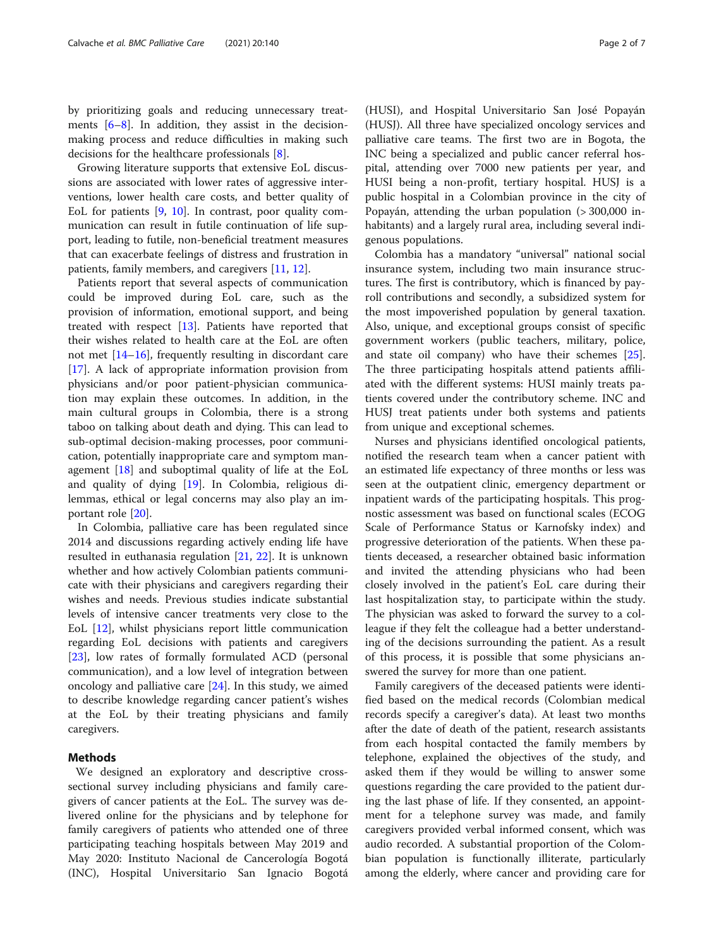by prioritizing goals and reducing unnecessary treatments [\[6](#page-5-0)–[8](#page-5-0)]. In addition, they assist in the decisionmaking process and reduce difficulties in making such decisions for the healthcare professionals [\[8\]](#page-5-0).

Growing literature supports that extensive EoL discussions are associated with lower rates of aggressive interventions, lower health care costs, and better quality of EoL for patients [[9,](#page-5-0) [10\]](#page-5-0). In contrast, poor quality communication can result in futile continuation of life support, leading to futile, non-beneficial treatment measures that can exacerbate feelings of distress and frustration in patients, family members, and caregivers [\[11](#page-5-0), [12\]](#page-6-0).

Patients report that several aspects of communication could be improved during EoL care, such as the provision of information, emotional support, and being treated with respect [[13](#page-6-0)]. Patients have reported that their wishes related to health care at the EoL are often not met [[14](#page-6-0)–[16](#page-6-0)], frequently resulting in discordant care [[17\]](#page-6-0). A lack of appropriate information provision from physicians and/or poor patient-physician communication may explain these outcomes. In addition, in the main cultural groups in Colombia, there is a strong taboo on talking about death and dying. This can lead to sub-optimal decision-making processes, poor communication, potentially inappropriate care and symptom management [[18\]](#page-6-0) and suboptimal quality of life at the EoL and quality of dying [[19\]](#page-6-0). In Colombia, religious dilemmas, ethical or legal concerns may also play an important role [[20](#page-6-0)].

In Colombia, palliative care has been regulated since 2014 and discussions regarding actively ending life have resulted in euthanasia regulation [[21](#page-6-0), [22\]](#page-6-0). It is unknown whether and how actively Colombian patients communicate with their physicians and caregivers regarding their wishes and needs. Previous studies indicate substantial levels of intensive cancer treatments very close to the EoL [\[12](#page-6-0)], whilst physicians report little communication regarding EoL decisions with patients and caregivers [[23\]](#page-6-0), low rates of formally formulated ACD (personal communication), and a low level of integration between oncology and palliative care [[24\]](#page-6-0). In this study, we aimed to describe knowledge regarding cancer patient's wishes at the EoL by their treating physicians and family caregivers.

# Methods

We designed an exploratory and descriptive crosssectional survey including physicians and family caregivers of cancer patients at the EoL. The survey was delivered online for the physicians and by telephone for family caregivers of patients who attended one of three participating teaching hospitals between May 2019 and May 2020: Instituto Nacional de Cancerología Bogotá (INC), Hospital Universitario San Ignacio Bogotá

(HUSI), and Hospital Universitario San José Popayán (HUSJ). All three have specialized oncology services and palliative care teams. The first two are in Bogota, the INC being a specialized and public cancer referral hospital, attending over 7000 new patients per year, and HUSI being a non-profit, tertiary hospital. HUSJ is a public hospital in a Colombian province in the city of Popayán, attending the urban population (> 300,000 inhabitants) and a largely rural area, including several indigenous populations.

Colombia has a mandatory "universal" national social insurance system, including two main insurance structures. The first is contributory, which is financed by payroll contributions and secondly, a subsidized system for the most impoverished population by general taxation. Also, unique, and exceptional groups consist of specific government workers (public teachers, military, police, and state oil company) who have their schemes [\[25](#page-6-0)]. The three participating hospitals attend patients affiliated with the different systems: HUSI mainly treats patients covered under the contributory scheme. INC and HUSJ treat patients under both systems and patients from unique and exceptional schemes.

Nurses and physicians identified oncological patients, notified the research team when a cancer patient with an estimated life expectancy of three months or less was seen at the outpatient clinic, emergency department or inpatient wards of the participating hospitals. This prognostic assessment was based on functional scales (ECOG Scale of Performance Status or Karnofsky index) and progressive deterioration of the patients. When these patients deceased, a researcher obtained basic information and invited the attending physicians who had been closely involved in the patient's EoL care during their last hospitalization stay, to participate within the study. The physician was asked to forward the survey to a colleague if they felt the colleague had a better understanding of the decisions surrounding the patient. As a result of this process, it is possible that some physicians answered the survey for more than one patient.

Family caregivers of the deceased patients were identified based on the medical records (Colombian medical records specify a caregiver's data). At least two months after the date of death of the patient, research assistants from each hospital contacted the family members by telephone, explained the objectives of the study, and asked them if they would be willing to answer some questions regarding the care provided to the patient during the last phase of life. If they consented, an appointment for a telephone survey was made, and family caregivers provided verbal informed consent, which was audio recorded. A substantial proportion of the Colombian population is functionally illiterate, particularly among the elderly, where cancer and providing care for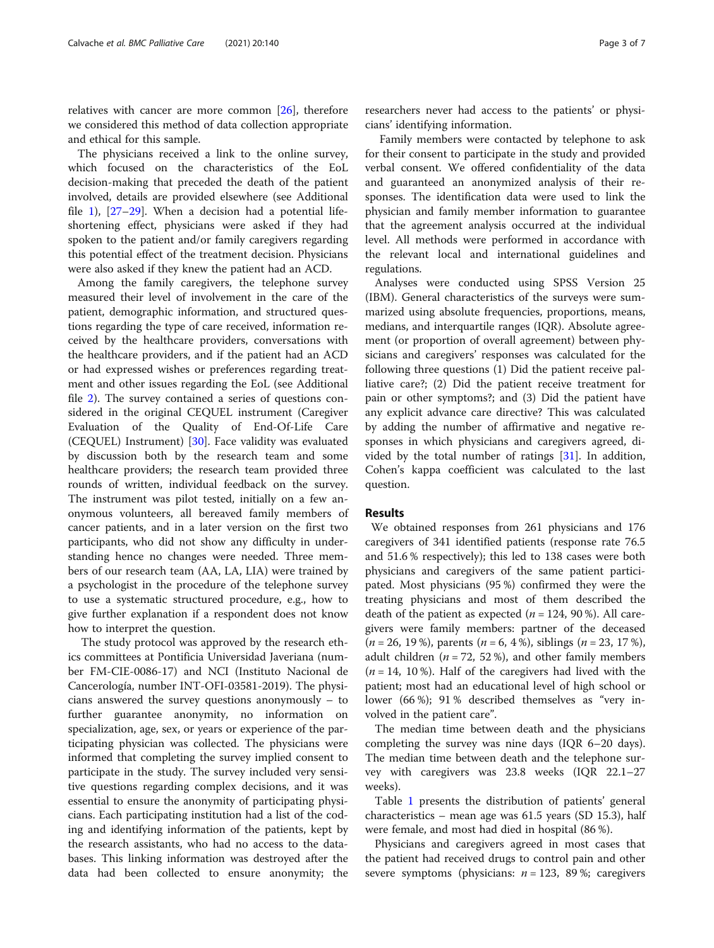relatives with cancer are more common [\[26\]](#page-6-0), therefore we considered this method of data collection appropriate and ethical for this sample.

The physicians received a link to the online survey, which focused on the characteristics of the EoL decision-making that preceded the death of the patient involved, details are provided elsewhere (see Additional file [1\)](#page-5-0),  $[27-29]$  $[27-29]$  $[27-29]$  $[27-29]$ . When a decision had a potential lifeshortening effect, physicians were asked if they had spoken to the patient and/or family caregivers regarding this potential effect of the treatment decision. Physicians were also asked if they knew the patient had an ACD.

Among the family caregivers, the telephone survey measured their level of involvement in the care of the patient, demographic information, and structured questions regarding the type of care received, information received by the healthcare providers, conversations with the healthcare providers, and if the patient had an ACD or had expressed wishes or preferences regarding treatment and other issues regarding the EoL (see Additional file [2](#page-5-0)). The survey contained a series of questions considered in the original CEQUEL instrument (Caregiver Evaluation of the Quality of End-Of-Life Care (CEQUEL) Instrument) [\[30](#page-6-0)]. Face validity was evaluated by discussion both by the research team and some healthcare providers; the research team provided three rounds of written, individual feedback on the survey. The instrument was pilot tested, initially on a few anonymous volunteers, all bereaved family members of cancer patients, and in a later version on the first two participants, who did not show any difficulty in understanding hence no changes were needed. Three members of our research team (AA, LA, LIA) were trained by a psychologist in the procedure of the telephone survey to use a systematic structured procedure, e.g., how to give further explanation if a respondent does not know how to interpret the question.

The study protocol was approved by the research ethics committees at Pontificia Universidad Javeriana (number FM-CIE-0086-17) and NCI (Instituto Nacional de Cancerología, number INT-OFI-03581-2019). The physicians answered the survey questions anonymously – to further guarantee anonymity, no information on specialization, age, sex, or years or experience of the participating physician was collected. The physicians were informed that completing the survey implied consent to participate in the study. The survey included very sensitive questions regarding complex decisions, and it was essential to ensure the anonymity of participating physicians. Each participating institution had a list of the coding and identifying information of the patients, kept by the research assistants, who had no access to the databases. This linking information was destroyed after the data had been collected to ensure anonymity; the

researchers never had access to the patients' or physicians' identifying information.

Family members were contacted by telephone to ask for their consent to participate in the study and provided verbal consent. We offered confidentiality of the data and guaranteed an anonymized analysis of their responses. The identification data were used to link the physician and family member information to guarantee that the agreement analysis occurred at the individual level. All methods were performed in accordance with the relevant local and international guidelines and regulations.

Analyses were conducted using SPSS Version 25 (IBM). General characteristics of the surveys were summarized using absolute frequencies, proportions, means, medians, and interquartile ranges (IQR). Absolute agreement (or proportion of overall agreement) between physicians and caregivers' responses was calculated for the following three questions (1) Did the patient receive palliative care?; (2) Did the patient receive treatment for pain or other symptoms?; and (3) Did the patient have any explicit advance care directive? This was calculated by adding the number of affirmative and negative responses in which physicians and caregivers agreed, divided by the total number of ratings [[31\]](#page-6-0). In addition, Cohen's kappa coefficient was calculated to the last question.

### Results

We obtained responses from 261 physicians and 176 caregivers of 341 identified patients (response rate 76.5 and 51.6 % respectively); this led to 138 cases were both physicians and caregivers of the same patient participated. Most physicians (95 %) confirmed they were the treating physicians and most of them described the death of the patient as expected ( $n = 124$ , 90%). All caregivers were family members: partner of the deceased  $(n = 26, 19\%)$ , parents  $(n = 6, 4\%)$ , siblings  $(n = 23, 17\%)$ , adult children ( $n = 72, 52\%$ ), and other family members  $(n = 14, 10\%)$ . Half of the caregivers had lived with the patient; most had an educational level of high school or lower (66 %); 91 % described themselves as "very involved in the patient care".

The median time between death and the physicians completing the survey was nine days (IQR 6–20 days). The median time between death and the telephone survey with caregivers was 23.8 weeks (IQR 22.1–27 weeks).

Table [1](#page-3-0) presents the distribution of patients' general characteristics – mean age was 61.5 years (SD 15.3), half were female, and most had died in hospital (86 %).

Physicians and caregivers agreed in most cases that the patient had received drugs to control pain and other severe symptoms (physicians:  $n = 123$ , 89%; caregivers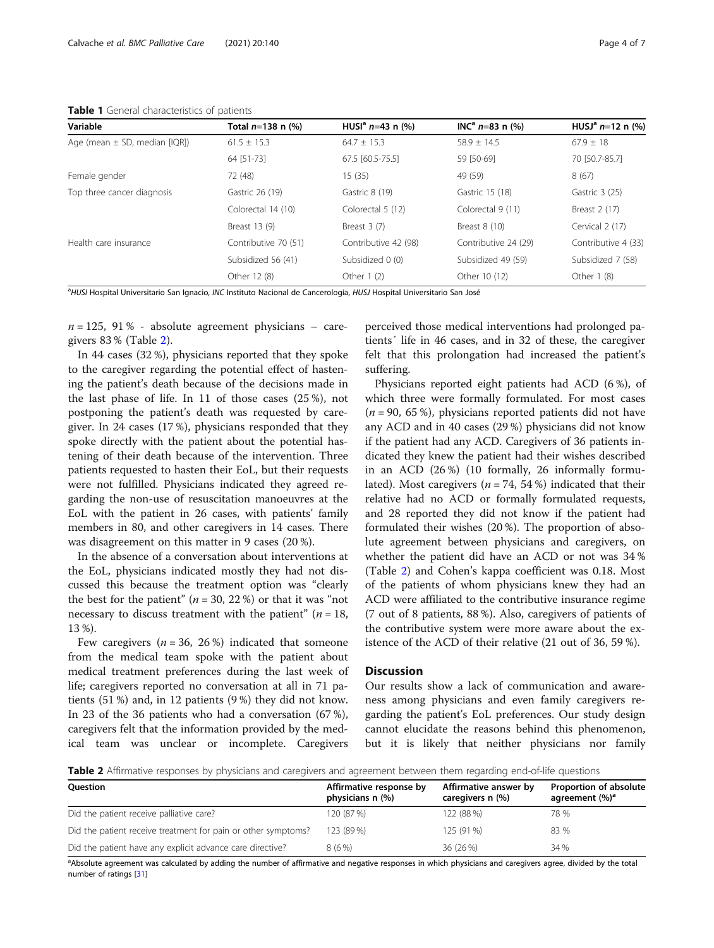<span id="page-3-0"></span>Table 1 General characteristics of patients

| Variable                          | Total n=138 n (%)    | HUSI <sup>a</sup> $n=43$ n (%) | $INCa n=83 n (%)$    | HUSJ <sup>a</sup> $n=12$ n (%) |
|-----------------------------------|----------------------|--------------------------------|----------------------|--------------------------------|
| Age (mean $\pm$ SD, median [IQR]) | $61.5 \pm 15.3$      | $64.7 \pm 15.3$                | $58.9 + 14.5$        | $67.9 + 18$                    |
|                                   | 64 [51-73]           | 67.5 [60.5-75.5]               | 59 [50-69]           | 70 [50.7-85.7]                 |
| Female gender                     | 72 (48)              | 15(35)                         | 49 (59)              | 8(67)                          |
| Top three cancer diagnosis        | Gastric 26 (19)      | Gastric 8 (19)                 | Gastric 15 (18)      | Gastric 3 (25)                 |
|                                   | Colorectal 14 (10)   | Colorectal 5 (12)              | Colorectal 9 (11)    | Breast 2 (17)                  |
|                                   | Breast 13 (9)        | Breast $3(7)$                  | Breast 8 (10)        | Cervical 2 (17)                |
| Health care insurance             | Contributive 70 (51) | Contributive 42 (98)           | Contributive 24 (29) | Contributive 4 (33)            |
|                                   | Subsidized 56 (41)   | Subsidized 0 (0)               | Subsidized 49 (59)   | Subsidized 7 (58)              |
|                                   | Other 12 (8)         | Other 1 (2)                    | Other 10 (12)        | Other 1 (8)                    |

<sup>a</sup>HUSI Hospital Universitario San Ignacio, INC Instituto Nacional de Cancerología, HUSJ Hospital Universitario San José

 $n = 125$ , 91% - absolute agreement physicians – caregivers 83 % (Table 2).

In 44 cases (32 %), physicians reported that they spoke to the caregiver regarding the potential effect of hastening the patient's death because of the decisions made in the last phase of life. In 11 of those cases (25 %), not postponing the patient's death was requested by caregiver. In 24 cases (17 %), physicians responded that they spoke directly with the patient about the potential hastening of their death because of the intervention. Three patients requested to hasten their EoL, but their requests were not fulfilled. Physicians indicated they agreed regarding the non-use of resuscitation manoeuvres at the EoL with the patient in 26 cases, with patients' family members in 80, and other caregivers in 14 cases. There was disagreement on this matter in 9 cases (20 %).

In the absence of a conversation about interventions at the EoL, physicians indicated mostly they had not discussed this because the treatment option was "clearly the best for the patient" ( $n = 30, 22\%$ ) or that it was "not necessary to discuss treatment with the patient" ( $n = 18$ , 13 %).

Few caregivers ( $n = 36, 26\%$ ) indicated that someone from the medical team spoke with the patient about medical treatment preferences during the last week of life; caregivers reported no conversation at all in 71 patients (51 %) and, in 12 patients (9 %) they did not know. In 23 of the 36 patients who had a conversation (67 %), caregivers felt that the information provided by the medical team was unclear or incomplete. Caregivers

perceived those medical interventions had prolonged patients´ life in 46 cases, and in 32 of these, the caregiver felt that this prolongation had increased the patient's suffering.

Physicians reported eight patients had ACD (6 %), of which three were formally formulated. For most cases  $(n = 90, 65 \%)$ , physicians reported patients did not have any ACD and in 40 cases (29 %) physicians did not know if the patient had any ACD. Caregivers of 36 patients indicated they knew the patient had their wishes described in an ACD (26 %) (10 formally, 26 informally formulated). Most caregivers ( $n = 74$ , 54%) indicated that their relative had no ACD or formally formulated requests, and 28 reported they did not know if the patient had formulated their wishes (20 %). The proportion of absolute agreement between physicians and caregivers, on whether the patient did have an ACD or not was 34 % (Table 2) and Cohen's kappa coefficient was 0.18. Most of the patients of whom physicians knew they had an ACD were affiliated to the contributive insurance regime (7 out of 8 patients, 88 %). Also, caregivers of patients of the contributive system were more aware about the existence of the ACD of their relative (21 out of 36, 59 %).

# **Discussion**

Our results show a lack of communication and awareness among physicians and even family caregivers regarding the patient's EoL preferences. Our study design cannot elucidate the reasons behind this phenomenon, but it is likely that neither physicians nor family

Table 2 Affirmative responses by physicians and caregivers and agreement between them regarding end-of-life questions

| <b>Ouestion</b>                                               | Affirmative response by<br>physicians n (%) | Affirmative answer by<br>caregivers n (%) | <b>Proportion of absolute</b><br>agreement (%) <sup>a</sup> |
|---------------------------------------------------------------|---------------------------------------------|-------------------------------------------|-------------------------------------------------------------|
| Did the patient receive palliative care?                      | 120 (87 %)                                  | 122 (88 %)                                | 78 %                                                        |
| Did the patient receive treatment for pain or other symptoms? | 123 (89 %)                                  | 125 (91 %)                                | 83 %                                                        |
| Did the patient have any explicit advance care directive?     | 8(6%)                                       | 36 (26 %)                                 | 34 %                                                        |

a<br>Absolute agreement was calculated by adding the number of affirmative and negative responses in which physicians and caregivers agree, divided by the total number of ratings [\[31](#page-6-0)]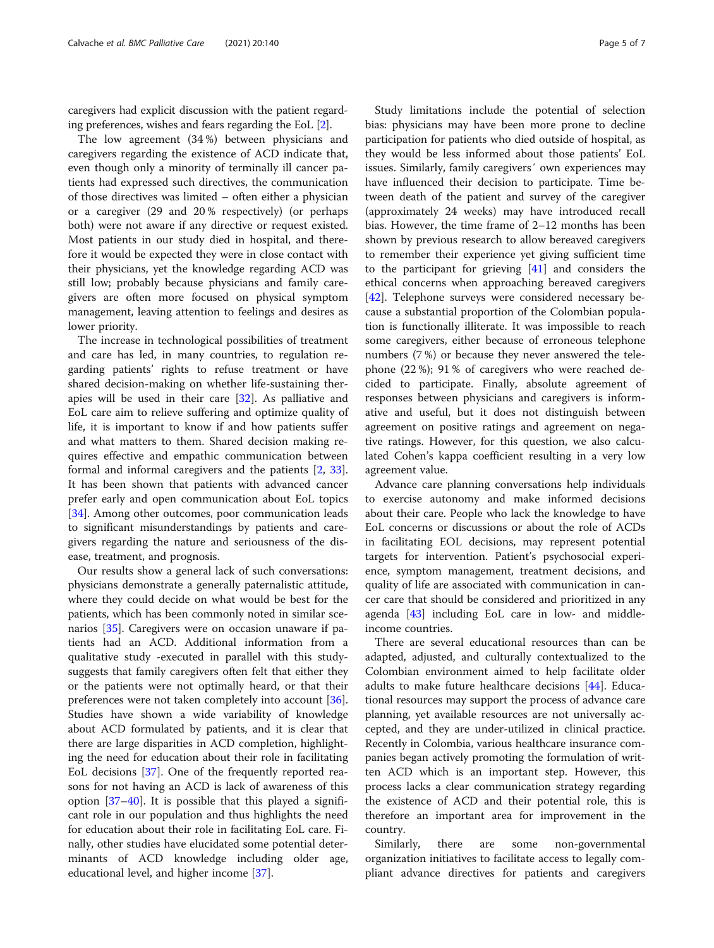caregivers had explicit discussion with the patient regarding preferences, wishes and fears regarding the EoL [\[2\]](#page-5-0).

The low agreement (34 %) between physicians and caregivers regarding the existence of ACD indicate that, even though only a minority of terminally ill cancer patients had expressed such directives, the communication of those directives was limited – often either a physician or a caregiver (29 and 20 % respectively) (or perhaps both) were not aware if any directive or request existed. Most patients in our study died in hospital, and therefore it would be expected they were in close contact with their physicians, yet the knowledge regarding ACD was still low; probably because physicians and family caregivers are often more focused on physical symptom management, leaving attention to feelings and desires as lower priority.

The increase in technological possibilities of treatment and care has led, in many countries, to regulation regarding patients' rights to refuse treatment or have shared decision-making on whether life-sustaining therapies will be used in their care [\[32](#page-6-0)]. As palliative and EoL care aim to relieve suffering and optimize quality of life, it is important to know if and how patients suffer and what matters to them. Shared decision making requires effective and empathic communication between formal and informal caregivers and the patients [\[2](#page-5-0), [33](#page-6-0)]. It has been shown that patients with advanced cancer prefer early and open communication about EoL topics [[34\]](#page-6-0). Among other outcomes, poor communication leads to significant misunderstandings by patients and caregivers regarding the nature and seriousness of the disease, treatment, and prognosis.

Our results show a general lack of such conversations: physicians demonstrate a generally paternalistic attitude, where they could decide on what would be best for the patients, which has been commonly noted in similar scenarios [[35](#page-6-0)]. Caregivers were on occasion unaware if patients had an ACD. Additional information from a qualitative study -executed in parallel with this studysuggests that family caregivers often felt that either they or the patients were not optimally heard, or that their preferences were not taken completely into account [\[36](#page-6-0)]. Studies have shown a wide variability of knowledge about ACD formulated by patients, and it is clear that there are large disparities in ACD completion, highlighting the need for education about their role in facilitating EoL decisions [\[37\]](#page-6-0). One of the frequently reported reasons for not having an ACD is lack of awareness of this option [[37](#page-6-0)–[40](#page-6-0)]. It is possible that this played a significant role in our population and thus highlights the need for education about their role in facilitating EoL care. Finally, other studies have elucidated some potential determinants of ACD knowledge including older age, educational level, and higher income [\[37\]](#page-6-0).

Study limitations include the potential of selection bias: physicians may have been more prone to decline participation for patients who died outside of hospital, as they would be less informed about those patients' EoL issues. Similarly, family caregivers´ own experiences may have influenced their decision to participate. Time between death of the patient and survey of the caregiver (approximately 24 weeks) may have introduced recall bias. However, the time frame of 2–12 months has been shown by previous research to allow bereaved caregivers to remember their experience yet giving sufficient time to the participant for grieving [[41](#page-6-0)] and considers the ethical concerns when approaching bereaved caregivers [[42\]](#page-6-0). Telephone surveys were considered necessary because a substantial proportion of the Colombian population is functionally illiterate. It was impossible to reach some caregivers, either because of erroneous telephone numbers (7 %) or because they never answered the telephone (22 %); 91 % of caregivers who were reached decided to participate. Finally, absolute agreement of responses between physicians and caregivers is informative and useful, but it does not distinguish between agreement on positive ratings and agreement on negative ratings. However, for this question, we also calculated Cohen's kappa coefficient resulting in a very low agreement value.

Advance care planning conversations help individuals to exercise autonomy and make informed decisions about their care. People who lack the knowledge to have EoL concerns or discussions or about the role of ACDs in facilitating EOL decisions, may represent potential targets for intervention. Patient's psychosocial experience, symptom management, treatment decisions, and quality of life are associated with communication in cancer care that should be considered and prioritized in any agenda [\[43\]](#page-6-0) including EoL care in low- and middleincome countries.

There are several educational resources than can be adapted, adjusted, and culturally contextualized to the Colombian environment aimed to help facilitate older adults to make future healthcare decisions [[44\]](#page-6-0). Educational resources may support the process of advance care planning, yet available resources are not universally accepted, and they are under-utilized in clinical practice. Recently in Colombia, various healthcare insurance companies began actively promoting the formulation of written ACD which is an important step. However, this process lacks a clear communication strategy regarding the existence of ACD and their potential role, this is therefore an important area for improvement in the country.

Similarly, there are some non-governmental organization initiatives to facilitate access to legally compliant advance directives for patients and caregivers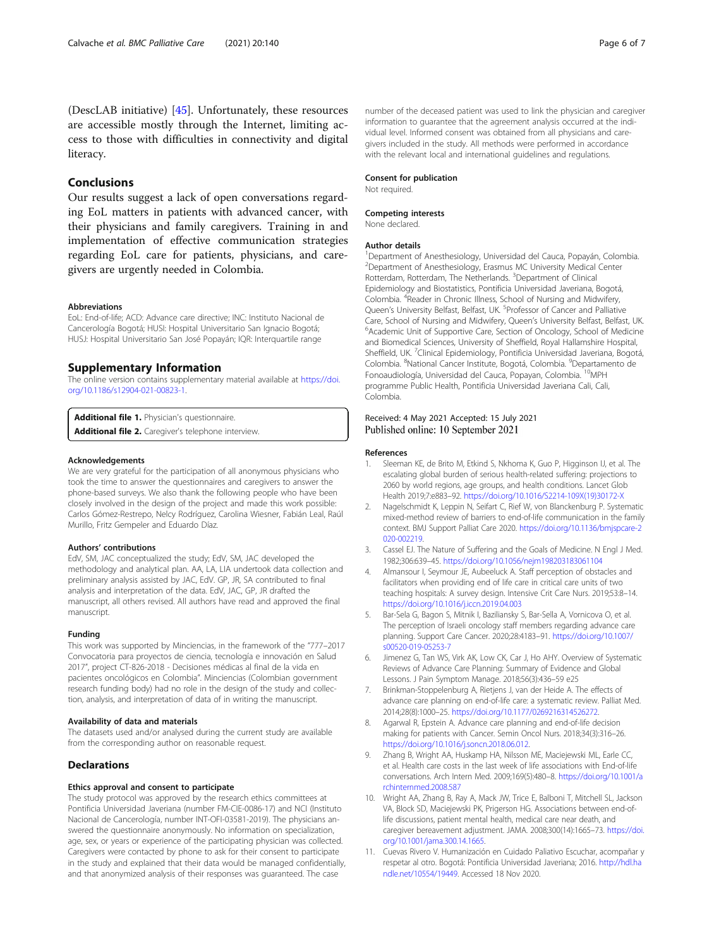<span id="page-5-0"></span>(DescLAB initiative) [\[45](#page-6-0)]. Unfortunately, these resources are accessible mostly through the Internet, limiting access to those with difficulties in connectivity and digital literacy.

# Conclusions

Our results suggest a lack of open conversations regarding EoL matters in patients with advanced cancer, with their physicians and family caregivers. Training in and implementation of effective communication strategies regarding EoL care for patients, physicians, and caregivers are urgently needed in Colombia.

#### Abbreviations

EoL: End-of-life; ACD: Advance care directive; INC: Instituto Nacional de Cancerología Bogotá; HUSI: Hospital Universitario San Ignacio Bogotá; HUSJ: Hospital Universitario San José Popayán; IQR: Interquartile range

#### Supplementary Information

The online version contains supplementary material available at [https://doi.](https://doi.org/10.1186/s12904-021-00823-1) [org/10.1186/s12904-021-00823-1.](https://doi.org/10.1186/s12904-021-00823-1)

Additional file 1. Physician's questionnaire.

Additional file 2. Caregiver's telephone interview.

#### Acknowledgements

We are very grateful for the participation of all anonymous physicians who took the time to answer the questionnaires and caregivers to answer the phone-based surveys. We also thank the following people who have been closely involved in the design of the project and made this work possible: Carlos Gómez-Restrepo, Nelcy Rodríguez, Carolina Wiesner, Fabián Leal, Raúl Murillo, Fritz Gempeler and Eduardo Díaz.

#### Authors' contributions

EdV, SM, JAC conceptualized the study; EdV, SM, JAC developed the methodology and analytical plan. AA, LA, LIA undertook data collection and preliminary analysis assisted by JAC, EdV. GP, JR, SA contributed to final analysis and interpretation of the data. EdV, JAC, GP, JR drafted the manuscript, all others revised. All authors have read and approved the final manuscript.

#### Funding

This work was supported by Minciencias, in the framework of the "777–2017 Convocatoria para proyectos de ciencia, tecnología e innovación en Salud 2017", project CT-826-2018 - Decisiones médicas al final de la vida en pacientes oncológicos en Colombia". Minciencias (Colombian government research funding body) had no role in the design of the study and collection, analysis, and interpretation of data of in writing the manuscript.

#### Availability of data and materials

The datasets used and/or analysed during the current study are available from the corresponding author on reasonable request.

## Declarations

#### Ethics approval and consent to participate

The study protocol was approved by the research ethics committees at Pontificia Universidad Javeriana (number FM-CIE-0086-17) and NCI (Instituto Nacional de Cancerología, number INT-OFI-03581-2019). The physicians answered the questionnaire anonymously. No information on specialization, age, sex, or years or experience of the participating physician was collected. Caregivers were contacted by phone to ask for their consent to participate in the study and explained that their data would be managed confidentially, and that anonymized analysis of their responses was guaranteed. The case

number of the deceased patient was used to link the physician and caregiver information to guarantee that the agreement analysis occurred at the individual level. Informed consent was obtained from all physicians and caregivers included in the study. All methods were performed in accordance with the relevant local and international guidelines and regulations.

#### Consent for publication

Not required.

#### Competing interests

None declared.

#### Author details

<sup>1</sup>Department of Anesthesiology, Universidad del Cauca, Popayán, Colombia 2 Department of Anesthesiology, Erasmus MC University Medical Center Rotterdam, Rotterdam, The Netherlands. <sup>3</sup>Department of Clinical Epidemiology and Biostatistics, Pontificia Universidad Javeriana, Bogotá, Colombia. <sup>4</sup> Reader in Chronic Illness, School of Nursing and Midwifery Queen's University Belfast, Belfast, UK. <sup>5</sup>Professor of Cancer and Palliative Care, School of Nursing and Midwifery, Queen's University Belfast, Belfast, UK. <sup>6</sup> Academic Unit of Supportive Care, Section of Oncology, School of Medicine and Biomedical Sciences, University of Sheffield, Royal Hallamshire Hospital, Sheffield, UK. <sup>7</sup>Clinical Epidemiology, Pontificia Universidad Javeriana, Bogotá, Colombia. <sup>8</sup>National Cancer Institute, Bogotá, Colombia. <sup>9</sup>Departamento de Fonoaudiología, Universidad del Cauca, Popayan, Colombia. 10MPH programme Public Health, Pontificia Universidad Javeriana Cali, Cali, Colombia.

#### Received: 4 May 2021 Accepted: 15 July 2021 Published online: 10 September 2021

#### References

- 1. Sleeman KE, de Brito M, Etkind S, Nkhoma K, Guo P, Higginson IJ, et al. The escalating global burden of serious health-related suffering: projections to 2060 by world regions, age groups, and health conditions. Lancet Glob Health 2019;7:e883–92. [https://doi.org/10.1016/S2214-109X\(19\)30172-X](https://doi.org/10.1016/S2214-109X(19)30172-X)
- 2. Nagelschmidt K, Leppin N, Seifart C, Rief W, von Blanckenburg P. Systematic mixed-method review of barriers to end-of-life communication in the family context. BMJ Support Palliat Care 2020. [https://doi.org/10.1136/bmjspcare-2](https://doi.org/10.1136/bmjspcare-2020-002219) [020-002219.](https://doi.org/10.1136/bmjspcare-2020-002219)
- Cassel EJ. The Nature of Suffering and the Goals of Medicine. N Engl J Med. 1982;306:639–45. <https://doi.org/10.1056/nejm198203183061104>
- 4. Almansour I, Seymour JE, Aubeeluck A. Staff perception of obstacles and facilitators when providing end of life care in critical care units of two teaching hospitals: A survey design. Intensive Crit Care Nurs. 2019;53:8–14. <https://doi.org/10.1016/j.iccn.2019.04.003>
- 5. Bar-Sela G, Bagon S, Mitnik I, Baziliansky S, Bar-Sella A, Vornicova O, et al. The perception of Israeli oncology staff members regarding advance care planning. Support Care Cancer. 2020;28:4183–91. [https://doi.org/10.1007/](https://doi.org/10.1007/s00520-019-05253-7) [s00520-019-05253-7](https://doi.org/10.1007/s00520-019-05253-7)
- 6. Jimenez G, Tan WS, Virk AK, Low CK, Car J, Ho AHY. Overview of Systematic Reviews of Advance Care Planning: Summary of Evidence and Global Lessons. J Pain Symptom Manage. 2018;56(3):436–59 e25
- 7. Brinkman-Stoppelenburg A, Rietjens J, van der Heide A. The effects of advance care planning on end-of-life care: a systematic review. Palliat Med. 2014;28(8):1000–25. [https://doi.org/10.1177/0269216314526272.](https://doi.org/10.1177/0269216314526272)
- 8. Agarwal R, Epstein A. Advance care planning and end-of-life decision making for patients with Cancer. Semin Oncol Nurs. 2018;34(3):316–26. [https://doi.org/10.1016/j.soncn.2018.06.012.](https://doi.org/10.1016/j.soncn.2018.06.012)
- 9. Zhang B, Wright AA, Huskamp HA, Nilsson ME, Maciejewski ML, Earle CC, et al. Health care costs in the last week of life associations with End-of-life conversations. Arch Intern Med. 2009;169(5):480–8. [https://doi.org/10.1001/a](https://doi.org/10.1001/archinternmed.2008.587) [rchinternmed.2008.587](https://doi.org/10.1001/archinternmed.2008.587)
- 10. Wright AA, Zhang B, Ray A, Mack JW, Trice E, Balboni T, Mitchell SL, Jackson VA, Block SD, Maciejewski PK, Prigerson HG. Associations between end-oflife discussions, patient mental health, medical care near death, and caregiver bereavement adjustment. JAMA. 2008;300(14):1665–73. [https://doi.](https://doi.org/10.1001/jama.300.14.1665) [org/10.1001/jama.300.14.1665.](https://doi.org/10.1001/jama.300.14.1665)
- 11. Cuevas Rivero V. Humanización en Cuidado Paliativo Escuchar, acompañar y respetar al otro. Bogotá: Pontificia Universidad Javeriana; 2016. [http://hdl.ha](http://www.hdl.handle.net/10554/19449) [ndle.net/10554/19449.](http://www.hdl.handle.net/10554/19449) Accessed 18 Nov 2020.